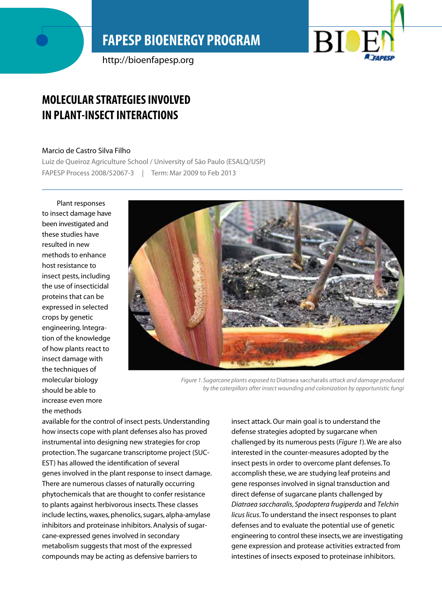# **FAPESP BIOENERGY PROGRAM**

http://bioenfapesp.org



## **Molecular strategies involved in plant-insect interactions**

#### Marcio de Castro Silva Filho

Luiz de Queiroz Agriculture School / University of São Paulo (ESALQ/USP) FAPESP Process 2008/52067-3 | Term: Mar 2009 to Feb 2013

Plant responses to insect damage have been investigated and these studies have resulted in new methods to enhance host resistance to insect pests, including the use of insecticidal proteins that can be expressed in selected crops by genetic engineering. Integration of the knowledge of how plants react to insect damage with the techniques of molecular biology should be able to increase even more the methods



*Figure 1. Sugarcane plants exposed to* Diatraea saccharalis *attack and damage produced by the caterpillars after insect wounding and colonization by opportunistic fungi*

available for the control of insect pests. Understanding how insects cope with plant defenses also has proved instrumental into designing new strategies for crop protection. The sugarcane transcriptome project (SUC-EST) has allowed the identification of several genes involved in the plant response to insect damage. There are numerous classes of naturally occurring phytochemicals that are thought to confer resistance to plants against herbivorous insects. These classes include lectins, waxes, phenolics, sugars, alpha-amylase inhibitors and proteinase inhibitors. Analysis of sugarcane-expressed genes involved in secondary metabolism suggests that most of the expressed compounds may be acting as defensive barriers to

insect attack. Our main goal is to understand the defense strategies adopted by sugarcane when challenged by its numerous pests (*Figure 1*). We are also interested in the counter-measures adopted by the insect pests in order to overcome plant defenses. To accomplish these, we are studying leaf proteins and gene responses involved in signal transduction and direct defense of sugarcane plants challenged by *Diatraea saccharalis*, *Spodoptera frugiperda* and *Telchin licus licus*. To understand the insect responses to plant defenses and to evaluate the potential use of genetic engineering to control these insects, we are investigating gene expression and protease activities extracted from intestines of insects exposed to proteinase inhibitors.